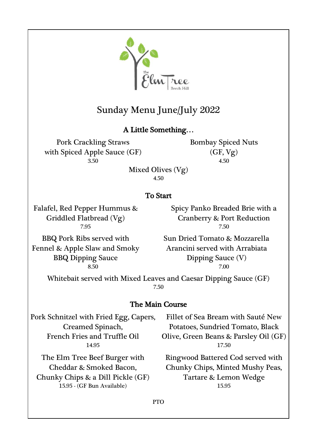

# Sunday Menu June/July 2022

# A Little Something…

Pork Crackling Straws with Spiced Apple Sauce (GF)

Bombay Spiced Nuts  $(GF, Vg)$ 3.50 4.50

Mixed Olives (Vg) 4.50

# To Start

Falafel, Red Pepper Hummus & Griddled Flatbread (Vg)

Spicy Panko Breaded Brie with a Cranberry & Port Reduction 7.95 7.50

BBQ Pork Ribs served with Fennel & Apple Slaw and Smoky BBQ Dipping Sauce

Sun Dried Tomato & Mozzarella Arancini served with Arrabiata Dipping Sauce (V) 8.50 7.00

Whitebait served with Mixed Leaves and Caesar Dipping Sauce (GF) 7.50

## The Main Course

Pork Schnitzel with Fried Egg, Capers, Creamed Spinach, French Fries and Truffle Oil

The Elm Tree Beef Burger with Cheddar & Smoked Bacon, Chunky Chips & a Dill Pickle (GF)

15.95 - (GF Bun Available) 15.95

Fillet of Sea Bream with Sauté New Potatoes, Sundried Tomato, Black Olive, Green Beans & Parsley Oil (GF) 14.95 17.50

> Ringwood Battered Cod served with Chunky Chips, Minted Mushy Peas, Tartare & Lemon Wedge

PTO